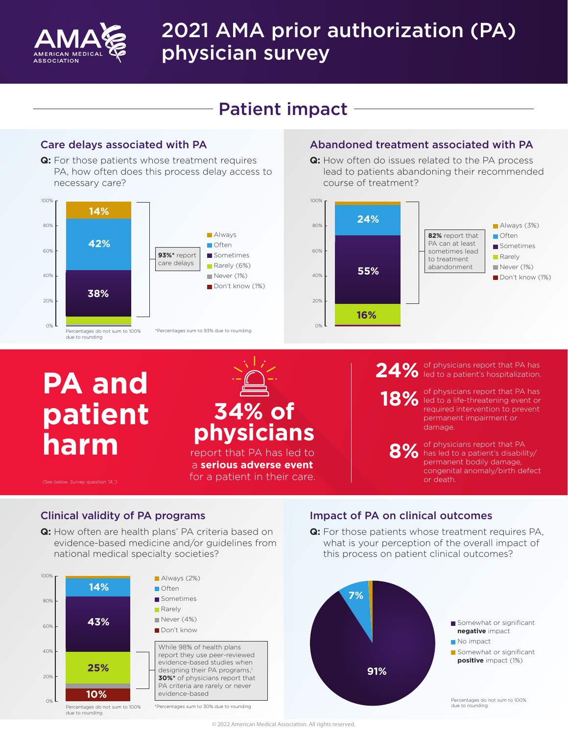

# 2021 AMA prior authorization (PA) physician survey

# Patient impact

**Q:** For those patients whose treatment requires PA, how often does this process delay access to necessary care?



#### Care delays associated with PA Abandoned treatment associated with PA

**Q:** How often do issues related to the PA process lead to patients abandoning their recommended course of treatment?



# **PA and patient harm**



a **serious adverse event** for a patient in their care.

#### of physicians report that PA has 24% of physicians report that PA has<br>
24% led to a patient's hospitalization.

**18%**

of physicians report that PA has led to a life-threatening event or required intervention to prevent permanent impairment or damage.

of physicians report that PA **8%** of physicians report that PA<br>**8%** has led to a patient's disability/ permanent bodily damage, congenital anomaly/birth defect or death.

*(See below, Survey question "A.")*

**Q:** How often are health plans' PA criteria based on evidence-based medicine and/or guidelines from national medical specialty societies?



### Clinical validity of PA programs Impact of PA on clinical outcomes

**Q:** For those patients whose treatment requires PA, what is your perception of the overall impact of this process on patient clinical outcomes?